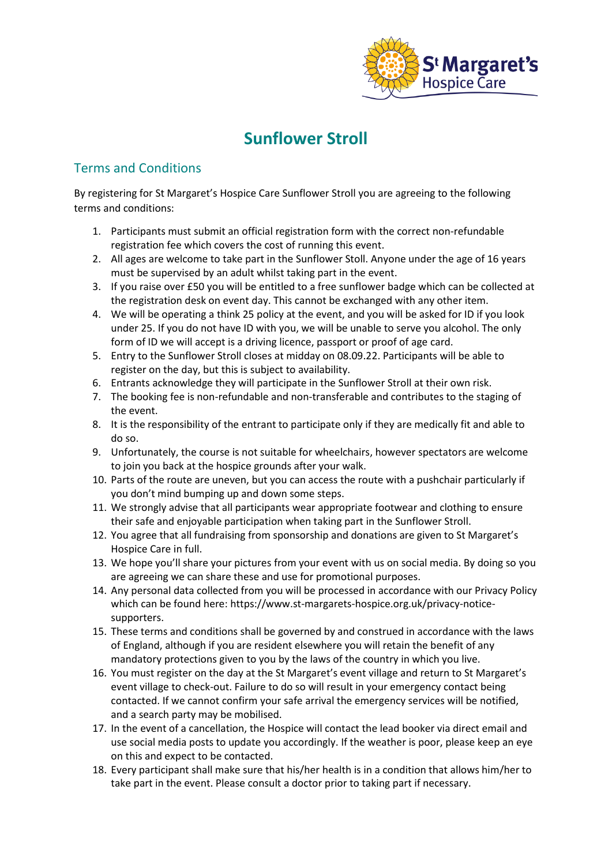

## **Sunflower Stroll**

## Terms and Conditions

By registering for St Margaret's Hospice Care Sunflower Stroll you are agreeing to the following terms and conditions:

- 1. Participants must submit an official registration form with the correct non-refundable registration fee which covers the cost of running this event.
- 2. All ages are welcome to take part in the Sunflower Stoll. Anyone under the age of 16 years must be supervised by an adult whilst taking part in the event.
- 3. If you raise over £50 you will be entitled to a free sunflower badge which can be collected at the registration desk on event day. This cannot be exchanged with any other item.
- 4. We will be operating a think 25 policy at the event, and you will be asked for ID if you look under 25. If you do not have ID with you, we will be unable to serve you alcohol. The only form of ID we will accept is a driving licence, passport or proof of age card.
- 5. Entry to the Sunflower Stroll closes at midday on 08.09.22. Participants will be able to register on the day, but this is subject to availability.
- 6. Entrants acknowledge they will participate in the Sunflower Stroll at their own risk.
- 7. The booking fee is non-refundable and non-transferable and contributes to the staging of the event.
- 8. It is the responsibility of the entrant to participate only if they are medically fit and able to do so.
- 9. Unfortunately, the course is not suitable for wheelchairs, however spectators are welcome to join you back at the hospice grounds after your walk.
- 10. Parts of the route are uneven, but you can access the route with a pushchair particularly if you don't mind bumping up and down some steps.
- 11. We strongly advise that all participants wear appropriate footwear and clothing to ensure their safe and enjoyable participation when taking part in the Sunflower Stroll.
- 12. You agree that all fundraising from sponsorship and donations are given to St Margaret's Hospice Care in full.
- 13. We hope you'll share your pictures from your event with us on social media. By doing so you are agreeing we can share these and use for promotional purposes.
- 14. Any personal data collected from you will be processed in accordance with our Privacy Policy which can be found here: [https://www.st-margarets-hospice.org.uk/privacy-notice](https://www.st-margarets-hospice.org.uk/privacy-notice-supporters)[supporters.](https://www.st-margarets-hospice.org.uk/privacy-notice-supporters)
- 15. These terms and conditions shall be governed by and construed in accordance with the laws of England, although if you are resident elsewhere you will retain the benefit of any mandatory protections given to you by the laws of the country in which you live.
- 16. You must register on the day at the St Margaret's event village and return to St Margaret's event village to check-out. Failure to do so will result in your emergency contact being contacted. If we cannot confirm your safe arrival the emergency services will be notified, and a search party may be mobilised.
- 17. In the event of a cancellation, the Hospice will contact the lead booker via direct email and use social media posts to update you accordingly. If the weather is poor, please keep an eye on this and expect to be contacted.
- 18. Every participant shall make sure that his/her health is in a condition that allows him/her to take part in the event. Please consult a doctor prior to taking part if necessary.